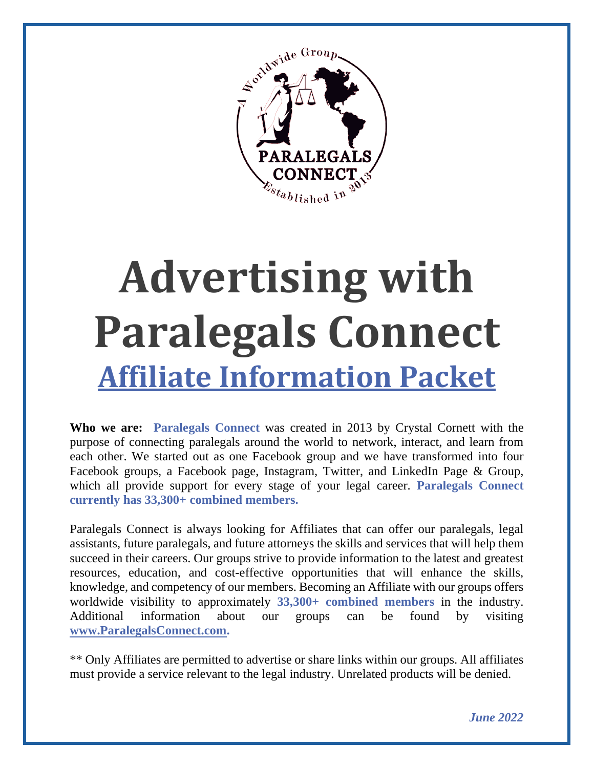

# **Advertising with Paralegals Connect Affiliate Information Packet**

**Who we are: Paralegals Connect** was created in 2013 by Crystal Cornett with the purpose of connecting paralegals around the world to network, interact, and learn from each other. We started out as one Facebook group and we have transformed into four Facebook groups, a Facebook page, Instagram, Twitter, and LinkedIn Page & Group, which all provide support for every stage of your legal career. **Paralegals Connect currently has 33,300+ combined members.**

Paralegals Connect is always looking for Affiliates that can offer our paralegals, legal assistants, future paralegals, and future attorneys the skills and services that will help them succeed in their careers. Our groups strive to provide information to the latest and greatest resources, education, and cost-effective opportunities that will enhance the skills, knowledge, and competency of our members. Becoming an Affiliate with our groups offers worldwide visibility to approximately **33,300+ combined members** in the industry. Additional information about our groups can be found by visiting **[www.ParalegalsConnect.com.](http://www.paralegalsconnect.com/)**

\*\* Only Affiliates are permitted to advertise or share links within our groups. All affiliates must provide a service relevant to the legal industry. Unrelated products will be denied.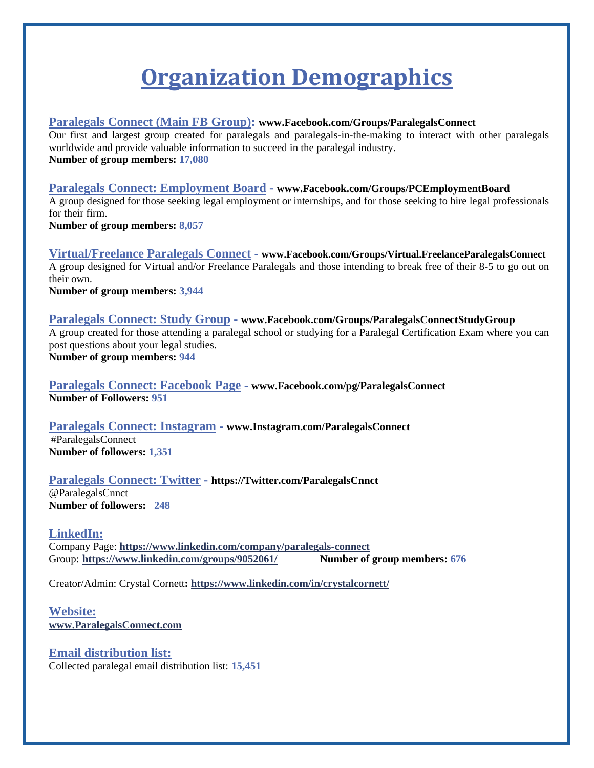# **Organization Demographics**

#### **Paralegals Connect (Main FB Group): www.Facebook.com/Groups/ParalegalsConnect**

Our first and largest group created for paralegals and paralegals-in-the-making to interact with other paralegals worldwide and provide valuable information to succeed in the paralegal industry. **Number of group members: 17,080**

### **Paralegals Connect: Employment Board - www.Facebook.com/Groups/PCEmploymentBoard**

A group designed for those seeking legal employment or internships, and for those seeking to hire legal professionals for their firm.

**Number of group members: 8,057**

**Virtual/Freelance Paralegals Connect - www.Facebook.com/Groups/Virtual.FreelanceParalegalsConnect** A group designed for Virtual and/or Freelance Paralegals and those intending to break free of their 8-5 to go out on their own.

**Number of group members: 3,944**

### **Paralegals Connect: Study Group - www.Facebook.com/Groups/ParalegalsConnectStudyGroup** A group created for those attending a paralegal school or studying for a Paralegal Certification Exam where you can post questions about your legal studies.

**Number of group members: 944**

**Paralegals Connect: Facebook Page - www.Facebook.com/pg/ParalegalsConnect Number of Followers: 951**

**Paralegals Connect: Instagram - www.Instagram.com/ParalegalsConnect** #ParalegalsConnect **Number of followers: 1,351**

**Paralegals Connect: Twitter - https://Twitter.com/ParalegalsCnnct** @ParalegalsCnnct **Number of followers: 248**

#### **LinkedIn:**

Company Page: **<https://www.linkedin.com/company/paralegals-connect>** Group: **<https://www.linkedin.com/groups/9052061/>Number of group members: 676**

Creator/Admin: Crystal Cornett**[: https://www.linkedin.com/in/crystalcornett/](https://www.linkedin.com/in/crystalcornett/)**

#### **Website: [www.ParalegalsConnect.com](http://www.paralegalsconnect.com/)**

**Email distribution list:**  Collected paralegal email distribution list: **15,451**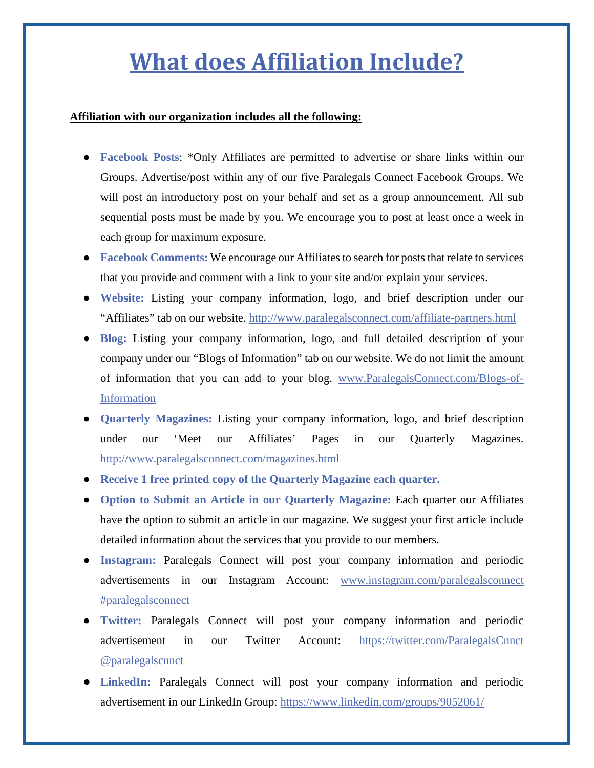# **What does Affiliation Include?**

#### **Affiliation with our organization includes all the following:**

- **Facebook Posts**: \*Only Affiliates are permitted to advertise or share links within our Groups. Advertise/post within any of our five Paralegals Connect Facebook Groups. We will post an introductory post on your behalf and set as a group announcement. All sub sequential posts must be made by you. We encourage you to post at least once a week in each group for maximum exposure.
- **Facebook Comments:** We encourage our Affiliates to search for posts that relate to services that you provide and comment with a link to your site and/or explain your services.
- **Website:** Listing your company information, logo, and brief description under our "Affiliates" tab on our website. http://www.paralegalsconnect.com/affiliate-partners.html
- **Blog:** Listing your company information, logo, and full detailed description of your company under our "Blogs of Information" tab on our website. We do not limit the amount of information that you can add to your blog. [www.ParalegalsConnect.com/Blogs-of-](http://www.paralegalsconnect.com/Blogs-of-Information)[Information](http://www.paralegalsconnect.com/Blogs-of-Information)
- **Quarterly Magazines:** Listing your company information, logo, and brief description under our 'Meet our Affiliates' Pages in our Quarterly Magazines. http://www.paralegalsconnect.com/magazines.html
- **Receive 1 free printed copy of the Quarterly Magazine each quarter.**
- **Option to Submit an Article in our Quarterly Magazine: Each quarter our Affiliates** have the option to submit an article in our magazine. We suggest your first article include detailed information about the services that you provide to our members.
- **Instagram:** Paralegals Connect will post your company information and periodic advertisements in our Instagram Account: [www.instagram.com/paralegalsconnect](http://www.instagram.com/paralegalsconnect) #paralegalsconnect
- **Twitter:** Paralegals Connect will post your company information and periodic advertisement in our Twitter Account: <https://twitter.com/ParalegalsCnnct> @paralegalscnnct
- **LinkedIn:** Paralegals Connect will post your company information and periodic advertisement in our LinkedIn Group: https://www.linkedin.com/groups/9052061/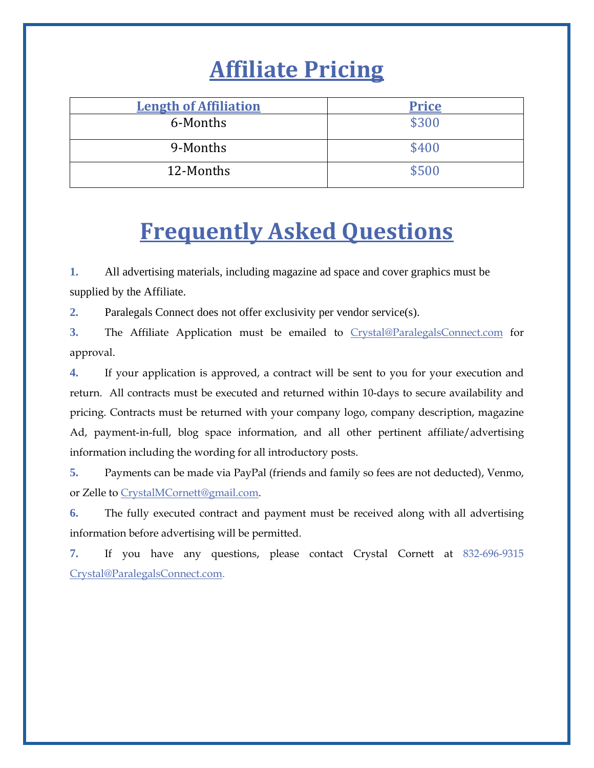# **Affiliate Pricing**

| <b>Length of Affiliation</b> | <b>Price</b> |
|------------------------------|--------------|
| 6-Months                     | \$300        |
| 9-Months                     | \$400        |
| 12-Months                    | \$500        |

# **Frequently Asked Questions**

**1.** All advertising materials, including magazine ad space and cover graphics must be supplied by the Affiliate.

**2.** Paralegals Connect does not offer exclusivity per vendor service(s).

**3.** The Affiliate Application must be emailed to [Crystal@ParalegalsConnect.com](mailto:Crystal@ParalegalsConnect.com) for approval.

**4.** If your application is approved, a contract will be sent to you for your execution and return. All contracts must be executed and returned within 10-days to secure availability and pricing. Contracts must be returned with your company logo, company description, magazine Ad, payment-in-full, blog space information, and all other pertinent affiliate/advertising information including the wording for all introductory posts.

**5.** Payments can be made via PayPal (friends and family so fees are not deducted), Venmo, or Zelle to CrystalMCornett@gmail.com.

**6.** The fully executed contract and payment must be received along with all advertising information before advertising will be permitted.

**7.** If you have any questions, please contact Crystal Cornett at 832-696-9315 [Crystal@ParalegalsConnect.com.](mailto:Crystal@ParalegalsConnect.com)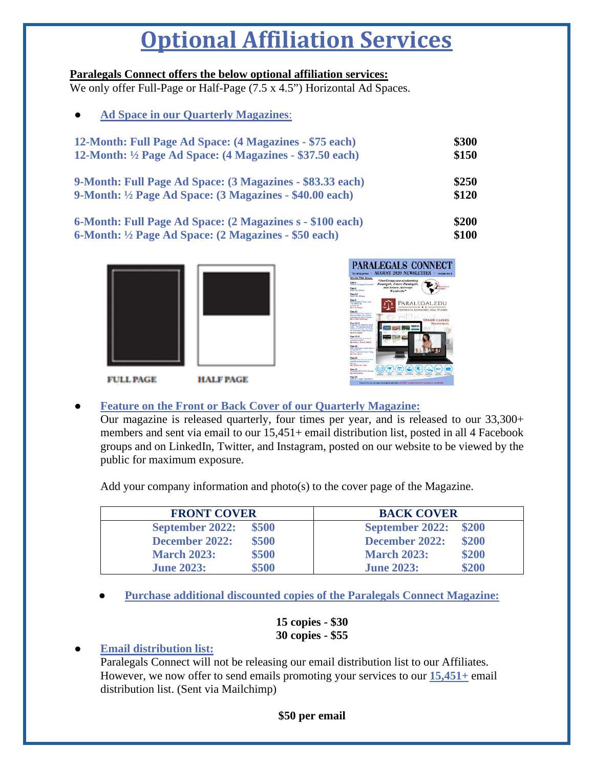# **Optional Affiliation Services**

#### **Paralegals Connect offers the below optional affiliation services:**

We only offer Full-Page or Half-Page (7.5 x 4.5") Horizontal Ad Spaces.

| <b>Ad Space in our Quarterly Magazines:</b><br>$\bullet$            |       |
|---------------------------------------------------------------------|-------|
| 12-Month: Full Page Ad Space: (4 Magazines - \$75 each)             | \$300 |
| 12-Month: $\frac{1}{2}$ Page Ad Space: (4 Magazines - \$37.50 each) | \$150 |
| 9-Month: Full Page Ad Space: (3 Magazines - \$83.33 each)           | \$250 |
| 9-Month: $\frac{1}{2}$ Page Ad Space: (3 Magazines - \$40.00 each)  | \$120 |
| 6-Month: Full Page Ad Space: (2 Magazines s - \$100 each)           | \$200 |
| 6-Month: ½ Page Ad Space: (2 Magazines - \$50 each)                 | \$100 |





**FULL PAGE** 

**HALF PAGE** 

### ● **Feature on the Front or Back Cover of our Quarterly Magazine:**

Our magazine is released quarterly, four times per year, and is released to our 33,300+ members and sent via email to our 15,451+ email distribution list, posted in all 4 Facebook groups and on LinkedIn, Twitter, and Instagram, posted on our website to be viewed by the public for maximum exposure.

Add your company information and photo(s) to the cover page of the Magazine.

| <b>FRONT COVER</b>     | <b>BACK COVER</b>      |  |  |
|------------------------|------------------------|--|--|
| \$500                  | \$200                  |  |  |
| <b>September 2022:</b> | <b>September 2022:</b> |  |  |
| \$500                  | \$200                  |  |  |
| December 2022:         | December 2022:         |  |  |
| \$500                  | \$200                  |  |  |
| <b>March 2023:</b>     | <b>March 2023:</b>     |  |  |
| \$500                  | \$200                  |  |  |
| <b>June 2023:</b>      | <b>June 2023:</b>      |  |  |

**Purchase additional discounted copies of the Paralegals Connect Magazine:** 

#### **15 copies - \$30 30 copies - \$55**

### **Email distribution list:**

Paralegals Connect will not be releasing our email distribution list to our Affiliates. However, we now offer to send emails promoting your services to our **15,451+** email distribution list. (Sent via Mailchimp)

### **\$50 per email**